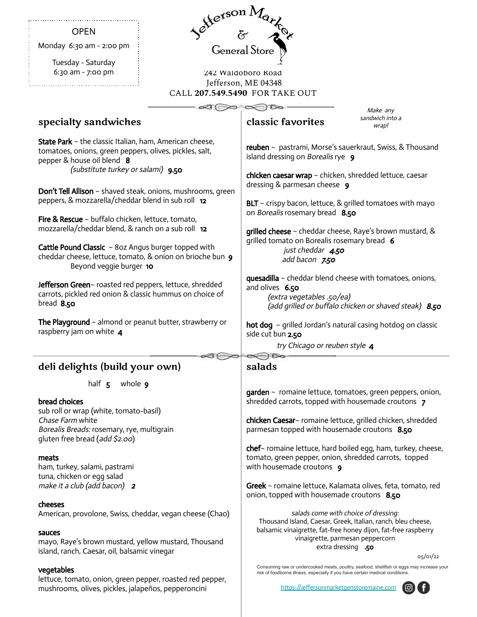| General Store                                                                                                                                                                                 |                    |                                                                                                                       |  |
|-----------------------------------------------------------------------------------------------------------------------------------------------------------------------------------------------|--------------------|-----------------------------------------------------------------------------------------------------------------------|--|
| <b>OPEN</b>                                                                                                                                                                                   |                    |                                                                                                                       |  |
| Monday $6:30$ am - $2:00$ pm                                                                                                                                                                  |                    |                                                                                                                       |  |
| Tuesday - Saturday<br>6:30 am - 7:00 pm                                                                                                                                                       |                    |                                                                                                                       |  |
|                                                                                                                                                                                               | 242 Waldoboro Road |                                                                                                                       |  |
|                                                                                                                                                                                               |                    | Jefferson, ME 04348                                                                                                   |  |
| CALL 207.549.5490 FOR TAKE OUT                                                                                                                                                                |                    |                                                                                                                       |  |
|                                                                                                                                                                                               |                    | ≫ಿ∝⊗<br>Make any                                                                                                      |  |
| specialty sandwiches                                                                                                                                                                          |                    | sandwich into a<br>classic favorites<br>wrap!                                                                         |  |
| <b>State Park</b> ~ the classic Italian, ham, American cheese,<br>tomatoes, onions, green peppers, olives, pickles, salt,<br>pepper & house oil blend 8<br>(substitute turkey or salami) 9.50 |                    | reuben ~ pastrami, Morse's sauerkraut, Swiss, & Thousand<br>island dressing on Borealis rye 9                         |  |
|                                                                                                                                                                                               |                    | chicken caesar wrap ~ chicken, shredded lettuce, caesar<br>dressing & parmesan cheese 9                               |  |
| Don't Tell Allison ~ shaved steak, onions, mushrooms, green                                                                                                                                   |                    |                                                                                                                       |  |
| peppers, & mozzarella/cheddar blend in sub roll 12                                                                                                                                            |                    | $BLT \sim$ crispy bacon, lettuce, & grilled tomatoes with mayo<br>on Borealis rosemary bread 8.50                     |  |
| <b>Fire &amp; Rescue</b> $\sim$ buffalo chicken, lettuce, tomato,<br>mozzarella/cheddar blend, & ranch on a sub roll 12                                                                       |                    | grilled cheese ~ cheddar cheese, Raye's brown mustard, &                                                              |  |
|                                                                                                                                                                                               |                    | grilled tomato on Borealis rosemary bread 6                                                                           |  |
| <b>Cattle Pound Classic</b> $\sim$ 80z Angus burger topped with<br>cheddar cheese, lettuce, tomato, & onion on brioche bun 9                                                                  |                    | just cheddar 4.50<br>add bacon 7.50                                                                                   |  |
| Beyond veggie burger 10                                                                                                                                                                       |                    |                                                                                                                       |  |
| Jefferson Green~ roasted red peppers, lettuce, shredded<br>carrots, pickled red onion & classic hummus on choice of<br>bread $8.50$                                                           |                    | quesadilla $\sim$ cheddar blend cheese with tomatoes, onions,<br>and olives 6.50                                      |  |
|                                                                                                                                                                                               |                    | (extra vegetables .50/ea)                                                                                             |  |
|                                                                                                                                                                                               |                    | (add grilled or buffalo chicken or shaved steak) 8.50                                                                 |  |
| The Playground $\sim$ almond or peanut butter, strawberry or<br>raspberry jam on white 4                                                                                                      |                    | <b>hot dog</b> $\sim$ grilled Jordan's natural casing hotdog on classic<br>side cut bun 2.50                          |  |
|                                                                                                                                                                                               |                    | try Chicago or reuben style 4                                                                                         |  |
| deli delights (build your own)                                                                                                                                                                |                    | salads                                                                                                                |  |
| half $5$<br>whole <b>9</b>                                                                                                                                                                    |                    |                                                                                                                       |  |
| bread choices                                                                                                                                                                                 |                    | garden ~ romaine lettuce, tomatoes, green peppers, onion,<br>shredded carrots, topped with housemade croutons 7       |  |
| sub roll or wrap (white, tomato-basil)                                                                                                                                                        |                    |                                                                                                                       |  |
| Chase Farm white<br>Borealis Breads: rosemary, rye, multigrain                                                                                                                                |                    | chicken Caesar~ romaine lettuce, grilled chicken, shredded<br>parmesan topped with housemade croutons 8.50            |  |
| gluten free bread (add \$2.00)                                                                                                                                                                |                    |                                                                                                                       |  |
| meats                                                                                                                                                                                         |                    | chef~ romaine lettuce, hard boiled egg, ham, turkey, cheese,<br>tomato, green pepper, onion, shredded carrots, topped |  |
| ham, turkey, salami, pastrami                                                                                                                                                                 |                    | with housemade croutons 9                                                                                             |  |
| tuna, chicken or egg salad<br>make it a club (add bacon) 2                                                                                                                                    |                    | Greek ~ romaine lettuce, Kalamata olives, feta, tomato, red                                                           |  |
|                                                                                                                                                                                               |                    | onion, topped with housemade croutons 8.50                                                                            |  |
| cheeses                                                                                                                                                                                       |                    | salads come with choice of dressing:                                                                                  |  |
| American, provolone, Swiss, cheddar, vegan cheese (Chao)                                                                                                                                      |                    | Thousand Island, Caesar, Greek, Italian, ranch, bleu cheese,                                                          |  |
| sauces                                                                                                                                                                                        |                    | balsamic vinaigrette, fat-free honey dijon, fat-free raspberry<br>vinaigrette, parmesan peppercorn                    |  |
| mayo, Raye's brown mustard, yellow mustard, Thousand<br>island, ranch, Caesar, oil, balsamic vinegar                                                                                          |                    | extra dressing .50                                                                                                    |  |
|                                                                                                                                                                                               |                    | 05/01/22<br>Consuming raw or undercooked meats, poultry, seafood, shellfish or eggs may increase your                 |  |
| vegetables<br>lettuce, tomato, onion, green pepper, roasted red pepper,                                                                                                                       |                    | risk of foodborne illness, especially if you have certain medical conditions.                                         |  |
| mushrooms, olives, pickles, jalapeños, pepperoncini                                                                                                                                           |                    | https://jeffersonmarketgenstoremaine.com                                                                              |  |